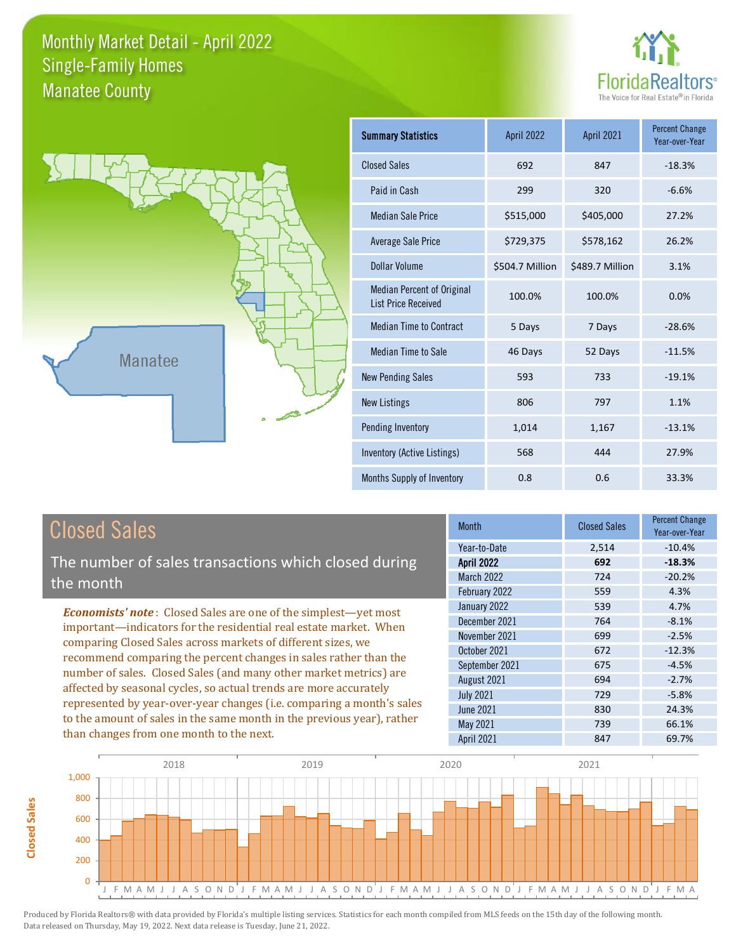



# Closed Sales

**Closed Sales**

**Closed Sales** 

The number of sales transactions which closed during the month

*Economists' note* : Closed Sales are one of the simplest—yet most important—indicators for the residential real estate market. When comparing Closed Sales across markets of different sizes, we recommend comparing the percent changes in sales rather than the number of sales. Closed Sales (and many other market metrics) are affected by seasonal cycles, so actual trends are more accurately represented by year-over-year changes (i.e. comparing a month's sales to the amount of sales in the same month in the previous year), rather than changes from one month to the next.

| Month             | <b>Closed Sales</b> | <b>Percent Change</b><br>Year-over-Year |
|-------------------|---------------------|-----------------------------------------|
| Year-to-Date      | 2,514               | $-10.4%$                                |
| <b>April 2022</b> | 692                 | $-18.3%$                                |
| <b>March 2022</b> | 724                 | $-20.2%$                                |
| February 2022     | 559                 | 4.3%                                    |
| January 2022      | 539                 | 4.7%                                    |
| December 2021     | 764                 | $-8.1%$                                 |
| November 2021     | 699                 | $-2.5%$                                 |
| October 2021      | 672                 | $-12.3%$                                |
| September 2021    | 675                 | $-4.5%$                                 |
| August 2021       | 694                 | $-2.7%$                                 |
| <b>July 2021</b>  | 729                 | $-5.8%$                                 |
| <b>June 2021</b>  | 830                 | 24.3%                                   |
| May 2021          | 739                 | 66.1%                                   |
| April 2021        | 847                 | 69.7%                                   |

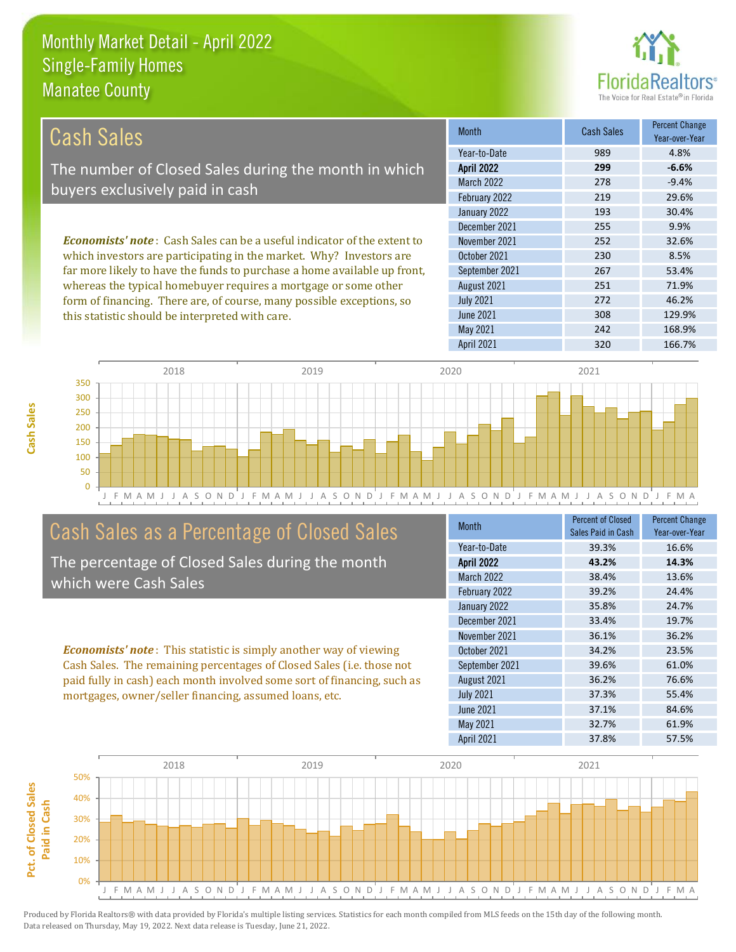this statistic should be interpreted with care.



308 129.9%

| Cash Sales                                                                      | <b>Month</b>      | <b>Cash Sales</b> | <b>Percent Change</b><br>Year-over-Year |
|---------------------------------------------------------------------------------|-------------------|-------------------|-----------------------------------------|
|                                                                                 | Year-to-Date      | 989               | 4.8%                                    |
| The number of Closed Sales during the month in which                            | <b>April 2022</b> | 299               | $-6.6%$                                 |
| buyers exclusively paid in cash                                                 | <b>March 2022</b> | 278               | $-9.4%$                                 |
|                                                                                 | February 2022     | 219               | 29.6%                                   |
|                                                                                 | January 2022      | 193               | 30.4%                                   |
|                                                                                 | December 2021     | 255               | 9.9%                                    |
| <b>Economists' note</b> : Cash Sales can be a useful indicator of the extent to | November 2021     | 252               | 32.6%                                   |
| which investors are participating in the market. Why? Investors are             | October 2021      | 230               | 8.5%                                    |
| far more likely to have the funds to purchase a home available up front,        | September 2021    | 267               | 53.4%                                   |
| whereas the typical homebuyer requires a mortgage or some other                 | August 2021       | 251               | 71.9%                                   |
| form of financing. There are, of course, many possible exceptions, so           | <b>July 2021</b>  | 272               | 46.2%                                   |

J F M A M J J A S O N D J F M A M J J A S O N D J F M A M J J A S O N D J F M A M J J A S O N D J F M A 0 50 100 150 200 250 300 350 2018 2019 2020 2021

# Cash Sales as a Percentage of Closed Sales

The percentage of Closed Sales during the month which were Cash Sales

*Economists' note* : This statistic is simply another way of viewing Cash Sales. The remaining percentages of Closed Sales (i.e. those not paid fully in cash) each month involved some sort of financing, such as mortgages, owner/seller financing, assumed loans, etc.

| <b>Month</b>      | <b>Percent of Closed</b><br>Sales Paid in Cash | <b>Percent Change</b><br>Year-over-Year |
|-------------------|------------------------------------------------|-----------------------------------------|
| Year-to-Date      | 39.3%                                          | 16.6%                                   |
| <b>April 2022</b> | 43.2%                                          | 14.3%                                   |
| March 2022        | 38.4%                                          | 13.6%                                   |
| February 2022     | 39.2%                                          | 24.4%                                   |
| January 2022      | 35.8%                                          | 24.7%                                   |
| December 2021     | 33.4%                                          | 19.7%                                   |
| November 2021     | 36.1%                                          | 36.2%                                   |
| October 2021      | 34.2%                                          | 23.5%                                   |
| September 2021    | 39.6%                                          | 61.0%                                   |
| August 2021       | 36.2%                                          | 76.6%                                   |
| <b>July 2021</b>  | 37.3%                                          | 55.4%                                   |
| <b>June 2021</b>  | 37.1%                                          | 84.6%                                   |
| May 2021          | 32.7%                                          | 61.9%                                   |
| <b>April 2021</b> | 37.8%                                          | 57.5%                                   |

May 2021 242 168.9%

June 2021

April 2021 320 320 166.7%



**Cash Sales**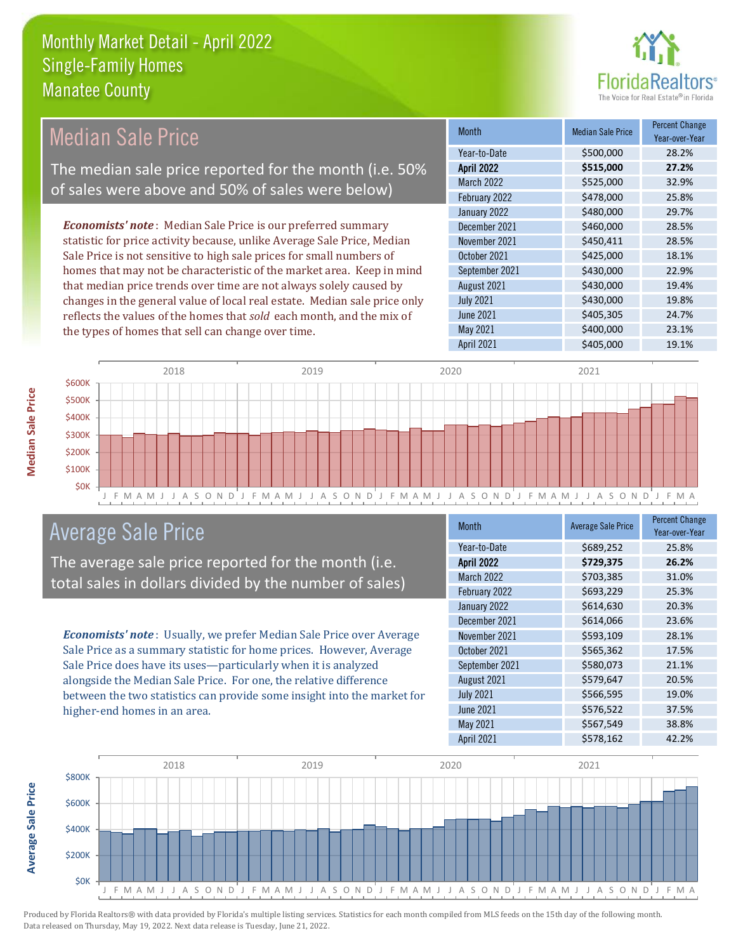

| <b>Median Sale Price</b>                                                  | <b>Month</b>      | <b>Median Sale Price</b> | <b>Percent Change</b><br>Year-over-Year |
|---------------------------------------------------------------------------|-------------------|--------------------------|-----------------------------------------|
|                                                                           | Year-to-Date      | \$500,000                | 28.2%                                   |
| The median sale price reported for the month (i.e. 50%                    | <b>April 2022</b> | \$515,000                | 27.2%                                   |
| of sales were above and 50% of sales were below)                          | <b>March 2022</b> | \$525,000                | 32.9%                                   |
|                                                                           | February 2022     | \$478,000                | 25.8%                                   |
|                                                                           | January 2022      | \$480,000                | 29.7%                                   |
| <b>Economists' note:</b> Median Sale Price is our preferred summary       | December 2021     | \$460,000                | 28.5%                                   |
| statistic for price activity because, unlike Average Sale Price, Median   | November 2021     | \$450,411                | 28.5%                                   |
| Sale Price is not sensitive to high sale prices for small numbers of      | October 2021      | \$425,000                | 18.1%                                   |
| homes that may not be characteristic of the market area. Keep in mind     | September 2021    | \$430,000                | 22.9%                                   |
| that median price trends over time are not always solely caused by        | August 2021       | \$430,000                | 19.4%                                   |
| changes in the general value of local real estate. Median sale price only | <b>July 2021</b>  | \$430,000                | 19.8%                                   |
| reflects the values of the homes that sold each month, and the mix of     | June 2021         | \$405,305                | 24.7%                                   |
| the types of homes that sell can change over time.                        | May 2021          | \$400,000                | 23.1%                                   |



### Average Sale Price

The average sale price reported for the month (i.e. total sales in dollars divided by the number of sales)

*Economists' note* : Usually, we prefer Median Sale Price over Average Sale Price as a summary statistic for home prices. However, Average Sale Price does have its uses—particularly when it is analyzed alongside the Median Sale Price. For one, the relative difference between the two statistics can provide some insight into the market for higher-end homes in an area.

| <b>Month</b>      | <b>Average Sale Price</b> | <b>Percent Change</b><br>Year-over-Year |
|-------------------|---------------------------|-----------------------------------------|
| Year-to-Date      | \$689,252                 | 25.8%                                   |
| <b>April 2022</b> | \$729,375                 | 26.2%                                   |
| March 2022        | \$703,385                 | 31.0%                                   |
| February 2022     | \$693,229                 | 25.3%                                   |
| January 2022      | \$614,630                 | 20.3%                                   |
| December 2021     | \$614,066                 | 23.6%                                   |
| November 2021     | \$593,109                 | 28.1%                                   |
| October 2021      | \$565,362                 | 17.5%                                   |
| September 2021    | \$580,073                 | 21.1%                                   |
| August 2021       | \$579,647                 | 20.5%                                   |
| <b>July 2021</b>  | \$566,595                 | 19.0%                                   |
| <b>June 2021</b>  | \$576,522                 | 37.5%                                   |
| May 2021          | \$567,549                 | 38.8%                                   |
| April 2021        | \$578,162                 | 42.2%                                   |

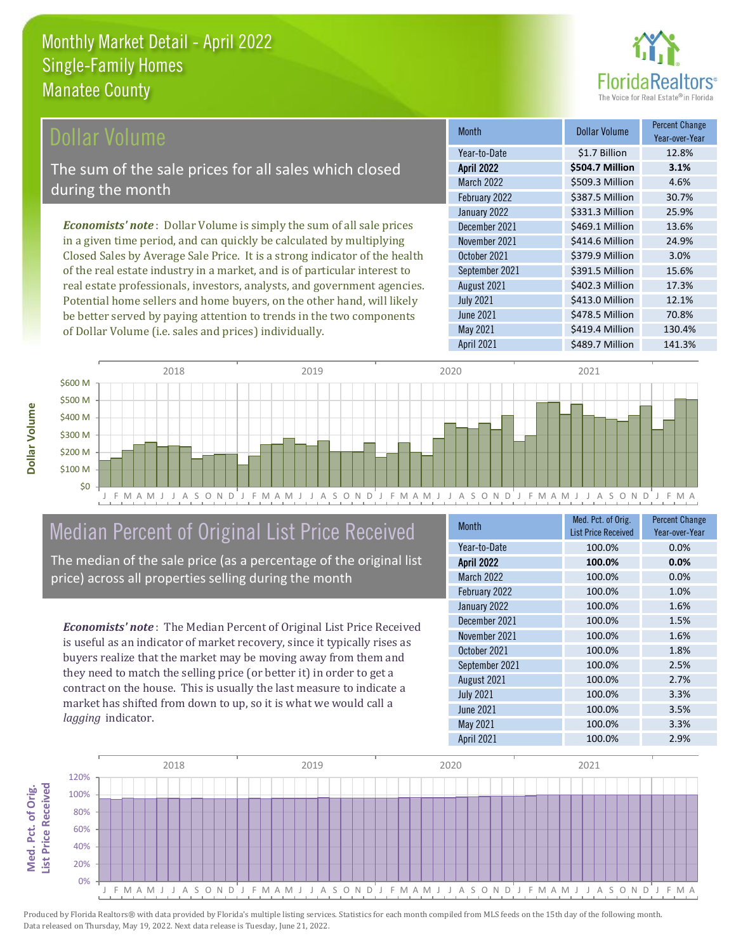

### Dollar Volume

The sum of the sale prices for all sales which closed during the month

*Economists' note* : Dollar Volume is simply the sum of all sale prices in a given time period, and can quickly be calculated by multiplying Closed Sales by Average Sale Price. It is a strong indicator of the health of the real estate industry in a market, and is of particular interest to real estate professionals, investors, analysts, and government agencies. Potential home sellers and home buyers, on the other hand, will likely be better served by paying attention to trends in the two components of Dollar Volume (i.e. sales and prices) individually.

| <b>Month</b>      | Dollar Volume   | <b>Percent Change</b><br>Year-over-Year |
|-------------------|-----------------|-----------------------------------------|
| Year-to-Date      | \$1.7 Billion   | 12.8%                                   |
| <b>April 2022</b> | \$504.7 Million | 3.1%                                    |
| <b>March 2022</b> | \$509.3 Million | 4.6%                                    |
| February 2022     | \$387.5 Million | 30.7%                                   |
| January 2022      | \$331.3 Million | 25.9%                                   |
| December 2021     | \$469.1 Million | 13.6%                                   |
| November 2021     | \$414.6 Million | 24.9%                                   |
| October 2021      | \$379.9 Million | 3.0%                                    |
| September 2021    | \$391.5 Million | 15.6%                                   |
| August 2021       | \$402.3 Million | 17.3%                                   |
| <b>July 2021</b>  | \$413.0 Million | 12.1%                                   |
| <b>June 2021</b>  | \$478.5 Million | 70.8%                                   |
| May 2021          | \$419.4 Million | 130.4%                                  |
| April 2021        | \$489.7 Million | 141.3%                                  |



# Median Percent of Original List Price Received

The median of the sale price (as a percentage of the original list price) across all properties selling during the month

*Economists' note* : The Median Percent of Original List Price Received is useful as an indicator of market recovery, since it typically rises as buyers realize that the market may be moving away from them and they need to match the selling price (or better it) in order to get a contract on the house. This is usually the last measure to indicate a market has shifted from down to up, so it is what we would call a *lagging* indicator.

| <b>Month</b>      | Med. Pct. of Orig.<br><b>List Price Received</b> | <b>Percent Change</b><br>Year-over-Year |
|-------------------|--------------------------------------------------|-----------------------------------------|
| Year-to-Date      | 100.0%                                           | 0.0%                                    |
| <b>April 2022</b> | 100.0%                                           | 0.0%                                    |
| March 2022        | 100.0%                                           | 0.0%                                    |
| February 2022     | 100.0%                                           | 1.0%                                    |
| January 2022      | 100.0%                                           | 1.6%                                    |
| December 2021     | 100.0%                                           | 1.5%                                    |
| November 2021     | 100.0%                                           | 1.6%                                    |
| October 2021      | 100.0%                                           | 1.8%                                    |
| September 2021    | 100.0%                                           | 2.5%                                    |
| August 2021       | 100.0%                                           | 2.7%                                    |
| <b>July 2021</b>  | 100.0%                                           | 3.3%                                    |
| <b>June 2021</b>  | 100.0%                                           | 3.5%                                    |
| May 2021          | 100.0%                                           | 3.3%                                    |
| <b>April 2021</b> | 100.0%                                           | 2.9%                                    |

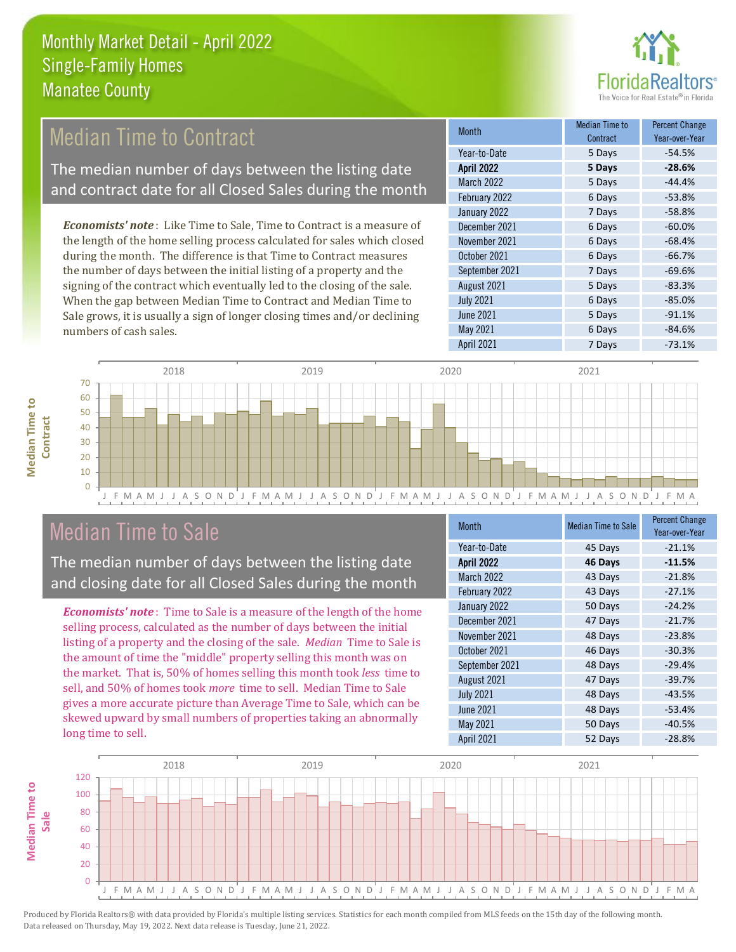

# Median Time to Contract

The median number of days between the listing date and contract date for all Closed Sales during the month

*Economists' note* : Like Time to Sale, Time to Contract is a measure of the length of the home selling process calculated for sales which closed during the month. The difference is that Time to Contract measures the number of days between the initial listing of a property and the signing of the contract which eventually led to the closing of the sale. When the gap between Median Time to Contract and Median Time to Sale grows, it is usually a sign of longer closing times and/or declining numbers of cash sales.

| <b>Month</b>      | Median Time to<br>Contract | <b>Percent Change</b><br>Year-over-Year |
|-------------------|----------------------------|-----------------------------------------|
| Year-to-Date      | 5 Days                     | $-54.5%$                                |
| <b>April 2022</b> | 5 Days                     | $-28.6%$                                |
| March 2022        | 5 Days                     | $-44.4%$                                |
| February 2022     | 6 Days                     | $-53.8%$                                |
| January 2022      | 7 Days                     | $-58.8%$                                |
| December 2021     | 6 Days                     | $-60.0%$                                |
| November 2021     | 6 Days                     | $-68.4%$                                |
| October 2021      | 6 Days                     | $-66.7%$                                |
| September 2021    | 7 Days                     | $-69.6%$                                |
| August 2021       | 5 Days                     | $-83.3%$                                |
| <b>July 2021</b>  | 6 Days                     | $-85.0%$                                |
| <b>June 2021</b>  | 5 Days                     | $-91.1%$                                |
| May 2021          | 6 Days                     | $-84.6%$                                |
| April 2021        | 7 Days                     | $-73.1%$                                |



### Median Time to Sale

**Median Time to** 

**Median Time to** 

The median number of days between the listing date and closing date for all Closed Sales during the month

*Economists' note* : Time to Sale is a measure of the length of the home selling process, calculated as the number of days between the initial listing of a property and the closing of the sale. *Median* Time to Sale is the amount of time the "middle" property selling this month was on the market. That is, 50% of homes selling this month took *less* time to sell, and 50% of homes took *more* time to sell. Median Time to Sale gives a more accurate picture than Average Time to Sale, which can be skewed upward by small numbers of properties taking an abnormally long time to sell.

| <b>Month</b>      | <b>Median Time to Sale</b> | <b>Percent Change</b><br>Year-over-Year |
|-------------------|----------------------------|-----------------------------------------|
| Year-to-Date      | 45 Days                    | $-21.1%$                                |
| <b>April 2022</b> | 46 Days                    | $-11.5%$                                |
| <b>March 2022</b> | 43 Days                    | $-21.8%$                                |
| February 2022     | 43 Days                    | $-27.1%$                                |
| January 2022      | 50 Days                    | $-24.2%$                                |
| December 2021     | 47 Days                    | $-21.7%$                                |
| November 2021     | 48 Days                    | $-23.8%$                                |
| October 2021      | 46 Days                    | $-30.3%$                                |
| September 2021    | 48 Days                    | $-29.4%$                                |
| August 2021       | 47 Days                    | $-39.7%$                                |
| <b>July 2021</b>  | 48 Days                    | $-43.5%$                                |
| <b>June 2021</b>  | 48 Days                    | $-53.4%$                                |
| May 2021          | 50 Days                    | $-40.5%$                                |
| April 2021        | 52 Days                    | $-28.8%$                                |

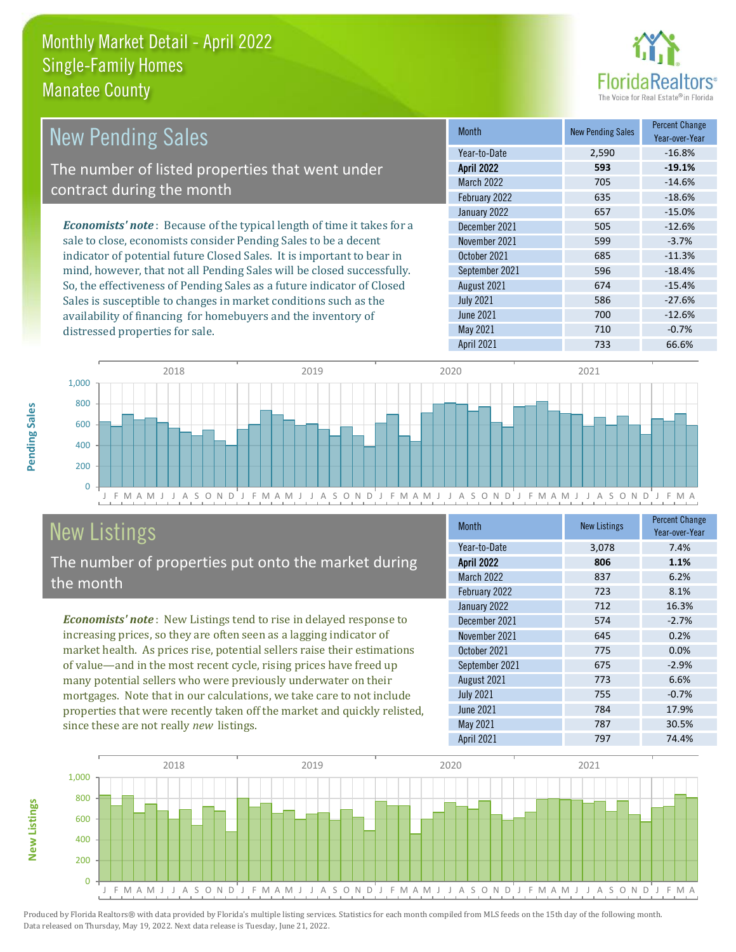distressed properties for sale.



| <b>New Pending Sales</b>                                                      | <b>Month</b>      | <b>New Pending Sales</b> | <b>Percent Change</b><br>Year-over-Year |
|-------------------------------------------------------------------------------|-------------------|--------------------------|-----------------------------------------|
|                                                                               | Year-to-Date      | 2,590                    | $-16.8%$                                |
| The number of listed properties that went under                               | <b>April 2022</b> | 593                      | $-19.1%$                                |
| contract during the month                                                     | <b>March 2022</b> | 705                      | $-14.6%$                                |
|                                                                               | February 2022     | 635                      | $-18.6%$                                |
|                                                                               | January 2022      | 657                      | $-15.0%$                                |
| <b>Economists' note:</b> Because of the typical length of time it takes for a | December 2021     | 505                      | $-12.6%$                                |
| sale to close, economists consider Pending Sales to be a decent               | November 2021     | 599                      | $-3.7%$                                 |
| indicator of potential future Closed Sales. It is important to bear in        | October 2021      | 685                      | $-11.3%$                                |
| mind, however, that not all Pending Sales will be closed successfully.        | September 2021    | 596                      | $-18.4%$                                |
| So, the effectiveness of Pending Sales as a future indicator of Closed        | August 2021       | 674                      | $-15.4%$                                |
| Sales is susceptible to changes in market conditions such as the              | <b>July 2021</b>  | 586                      | $-27.6%$                                |



# New Listings

The number of properties put onto the market during the month

availability of financing for homebuyers and the inventory of

*Economists' note* : New Listings tend to rise in delayed response to increasing prices, so they are often seen as a lagging indicator of market health. As prices rise, potential sellers raise their estimations of value—and in the most recent cycle, rising prices have freed up many potential sellers who were previously underwater on their mortgages. Note that in our calculations, we take care to not include properties that were recently taken off the market and quickly relisted, since these are not really *new* listings.

| <b>Month</b>      | <b>New Listings</b> | <b>Percent Change</b><br>Year-over-Year |
|-------------------|---------------------|-----------------------------------------|
| Year-to-Date      | 3,078               | 7.4%                                    |
| <b>April 2022</b> | 806                 | 1.1%                                    |
| <b>March 2022</b> | 837                 | 6.2%                                    |
| February 2022     | 723                 | 8.1%                                    |
| January 2022      | 712                 | 16.3%                                   |
| December 2021     | 574                 | $-2.7%$                                 |
| November 2021     | 645                 | 0.2%                                    |
| October 2021      | 775                 | 0.0%                                    |
| September 2021    | 675                 | $-2.9%$                                 |
| August 2021       | 773                 | 6.6%                                    |
| <b>July 2021</b>  | 755                 | $-0.7%$                                 |
| <b>June 2021</b>  | 784                 | 17.9%                                   |
| May 2021          | 787                 | 30.5%                                   |
| April 2021        | 797                 | 74.4%                                   |

April 2021 733 66.6%

June 2021 700 -12.6% May 2021 710 710 -0.7%



**New Listings**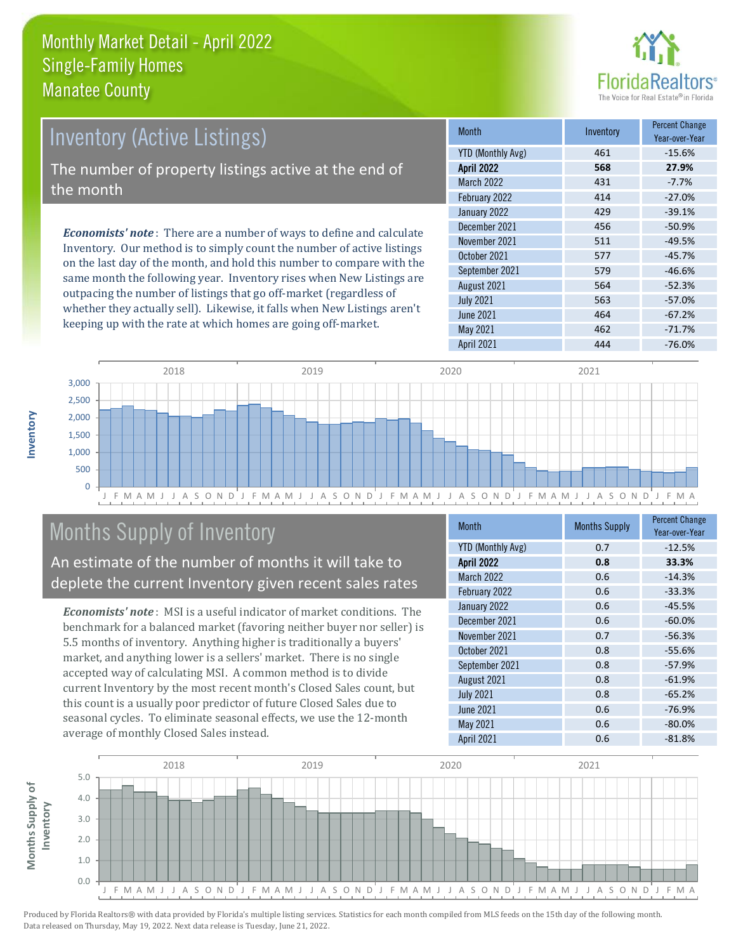

# *Economists' note* : There are a number of ways to define and calculate Inventory. Our method is to simply count the number of active listings Inventory (Active Listings) The number of property listings active at the end of the month

on the last day of the month, and hold this number to compare with the same month the following year. Inventory rises when New Listings are outpacing the number of listings that go off-market (regardless of whether they actually sell). Likewise, it falls when New Listings aren't keeping up with the rate at which homes are going off-market.

| <b>Month</b>             | Inventory | <b>Percent Change</b><br>Year-over-Year |
|--------------------------|-----------|-----------------------------------------|
| <b>YTD (Monthly Avg)</b> | 461       | $-15.6%$                                |
| <b>April 2022</b>        | 568       | 27.9%                                   |
| <b>March 2022</b>        | 431       | $-7.7%$                                 |
| February 2022            | 414       | $-27.0%$                                |
| January 2022             | 429       | $-39.1%$                                |
| December 2021            | 456       | $-50.9%$                                |
| November 2021            | 511       | $-49.5%$                                |
| October 2021             | 577       | $-45.7%$                                |
| September 2021           | 579       | $-46.6%$                                |
| August 2021              | 564       | $-52.3%$                                |
| <b>July 2021</b>         | 563       | $-57.0%$                                |
| <b>June 2021</b>         | 464       | $-67.2%$                                |
| May 2021                 | 462       | $-71.7%$                                |
| <b>April 2021</b>        | 444       | $-76.0%$                                |



# Months Supply of Inventory

An estimate of the number of months it will take to deplete the current Inventory given recent sales rates

*Economists' note* : MSI is a useful indicator of market conditions. The benchmark for a balanced market (favoring neither buyer nor seller) is 5.5 months of inventory. Anything higher is traditionally a buyers' market, and anything lower is a sellers' market. There is no single accepted way of calculating MSI. A common method is to divide current Inventory by the most recent month's Closed Sales count, but this count is a usually poor predictor of future Closed Sales due to seasonal cycles. To eliminate seasonal effects, we use the 12-month average of monthly Closed Sales instead.

| <b>Month</b>             | <b>Months Supply</b> | <b>Percent Change</b><br>Year-over-Year |
|--------------------------|----------------------|-----------------------------------------|
| <b>YTD (Monthly Avg)</b> | 0.7                  | $-12.5%$                                |
| <b>April 2022</b>        | 0.8                  | 33.3%                                   |
| <b>March 2022</b>        | 0.6                  | $-14.3%$                                |
| February 2022            | 0.6                  | $-33.3%$                                |
| January 2022             | 0.6                  | $-45.5%$                                |
| December 2021            | 0.6                  | $-60.0%$                                |
| November 2021            | 0.7                  | $-56.3%$                                |
| October 2021             | 0.8                  | $-55.6%$                                |
| September 2021           | 0.8                  | $-57.9%$                                |
| August 2021              | 0.8                  | $-61.9%$                                |
| <b>July 2021</b>         | 0.8                  | $-65.2%$                                |
| <b>June 2021</b>         | 0.6                  | $-76.9%$                                |
| May 2021                 | 0.6                  | $-80.0%$                                |
| <b>April 2021</b>        | 0.6                  | $-81.8%$                                |

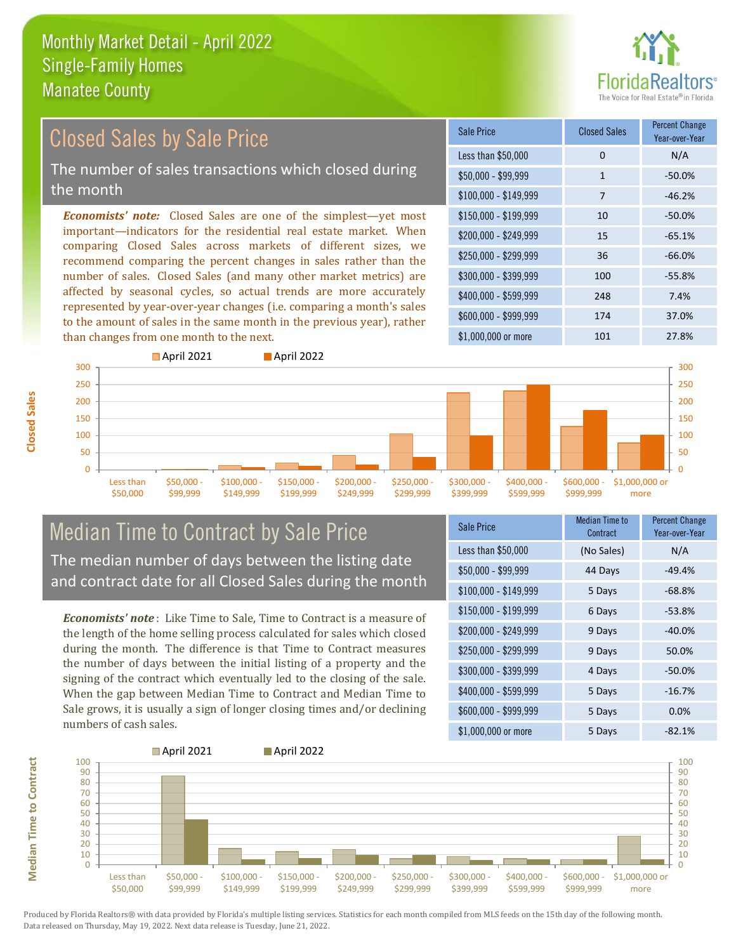

#### \$100,000 - \$149,999 7 -46.2% Sale Price Closed Sales Percent Change Year-over-Year Less than \$50,000 0 0 N/A  $$50.000 - $99.999$  1 -50.0% \$150,000 - \$199,999 10 -50.0% \$200,000 - \$249,999 15 -65.1% \$400,000 - \$599,999 248 7.4% \$600,000 - \$999,999 174 37.0% *Economists' note:* Closed Sales are one of the simplest—yet most important—indicators for the residential real estate market. When comparing Closed Sales across markets of different sizes, we recommend comparing the percent changes in sales rather than the number of sales. Closed Sales (and many other market metrics) are affected by seasonal cycles, so actual trends are more accurately represented by year-over-year changes (i.e. comparing a month's sales to the amount of sales in the same month in the previous year), rather than changes from one month to the next. \$1,000,000 or more 101 101 27.8%  $$250,000 - $299,999$  36 -66.0% \$300,000 - \$399,999 100 -55.8% Closed Sales by Sale Price The number of sales transactions which closed during the month



#### Median Time to Contract by Sale Price The median number of days between the listing date and contract date for all Closed Sales during the month

*Economists' note* : Like Time to Sale, Time to Contract is a measure of the length of the home selling process calculated for sales which closed during the month. The difference is that Time to Contract measures the number of days between the initial listing of a property and the signing of the contract which eventually led to the closing of the sale. When the gap between Median Time to Contract and Median Time to Sale grows, it is usually a sign of longer closing times and/or declining numbers of cash sales.

| <b>Sale Price</b>     | Median Time to<br>Contract | <b>Percent Change</b><br>Year-over-Year |
|-----------------------|----------------------------|-----------------------------------------|
| Less than \$50,000    | (No Sales)                 | N/A                                     |
| $$50,000 - $99,999$   | 44 Days                    | $-49.4%$                                |
| $$100,000 - $149,999$ | 5 Days                     | $-68.8%$                                |
| $$150,000 - $199,999$ | 6 Days                     | $-53.8%$                                |
| \$200,000 - \$249,999 | 9 Days                     | $-40.0%$                                |
| \$250,000 - \$299,999 | 9 Days                     | 50.0%                                   |
| \$300,000 - \$399,999 | 4 Days                     | $-50.0%$                                |
| \$400,000 - \$599,999 | 5 Days                     | $-16.7%$                                |
| \$600,000 - \$999,999 | 5 Days                     | 0.0%                                    |
| \$1,000,000 or more   | 5 Days                     | $-82.1%$                                |



Produced by Florida Realtors® with data provided by Florida's multiple listing services. Statistics for each month compiled from MLS feeds on the 15th day of the following month. Data released on Thursday, May 19, 2022. Next data release is Tuesday, June 21, 2022.

**Median Time to Contract**

**Median Time to Contract**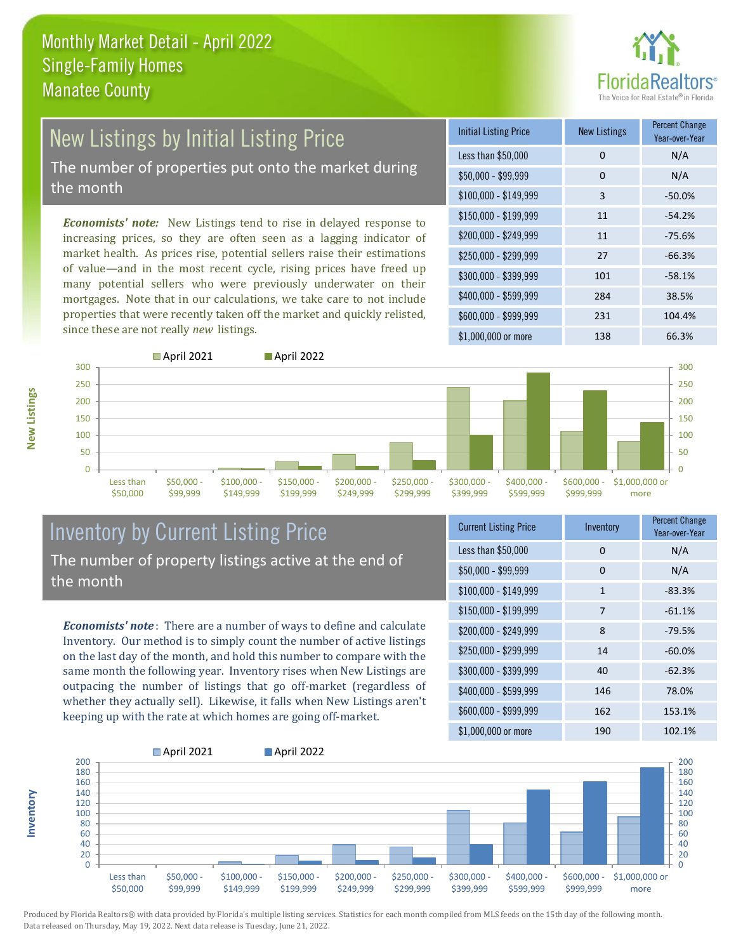

# New Listings by Initial Listing Price

The number of properties put onto the market during the month

*Economists' note:* New Listings tend to rise in delayed response to increasing prices, so they are often seen as a lagging indicator of market health. As prices rise, potential sellers raise their estimations of value—and in the most recent cycle, rising prices have freed up many potential sellers who were previously underwater on their mortgages. Note that in our calculations, we take care to not include properties that were recently taken off the market and quickly relisted, since these are not really *new* listings.

| <b>Initial Listing Price</b> | <b>New Listings</b> | <b>Percent Change</b><br>Year-over-Year |
|------------------------------|---------------------|-----------------------------------------|
| Less than \$50,000           | 0                   | N/A                                     |
| $$50,000 - $99,999$          | 0                   | N/A                                     |
| $$100,000 - $149,999$        | 3                   | $-50.0%$                                |
| $$150,000 - $199,999$        | 11                  | $-54.2%$                                |
| \$200,000 - \$249,999        | 11                  | $-75.6%$                                |
| $$250,000 - $299,999$        | 27                  | $-66.3%$                                |
| \$300,000 - \$399,999        | 101                 | $-58.1%$                                |
| \$400,000 - \$599,999        | 284                 | 38.5%                                   |
| \$600,000 - \$999,999        | 231                 | 104.4%                                  |
| \$1,000,000 or more          | 138                 | 66.3%                                   |



**Inventory**



#### Inventory by Current Listing Price The number of property listings active at the end of the month

*Economists' note* : There are a number of ways to define and calculate Inventory. Our method is to simply count the number of active listings on the last day of the month, and hold this number to compare with the same month the following year. Inventory rises when New Listings are outpacing the number of listings that go off-market (regardless of whether they actually sell). Likewise, it falls when New Listings aren't keeping up with the rate at which homes are going off-market.

| <b>Current Listing Price</b> | Inventory    | <b>Percent Change</b><br>Year-over-Year |
|------------------------------|--------------|-----------------------------------------|
| Less than \$50,000           | $\Omega$     | N/A                                     |
| $$50,000 - $99,999$          | 0            | N/A                                     |
| $$100,000 - $149,999$        | $\mathbf{1}$ | $-83.3%$                                |
| \$150,000 - \$199,999        | 7            | $-61.1%$                                |
| \$200,000 - \$249,999        | 8            | $-79.5%$                                |
| \$250,000 - \$299,999        | 14           | $-60.0%$                                |
| \$300,000 - \$399,999        | 40           | $-62.3%$                                |
| \$400,000 - \$599,999        | 146          | 78.0%                                   |
| \$600,000 - \$999,999        | 162          | 153.1%                                  |
| \$1,000,000 or more          | 190          | 102.1%                                  |